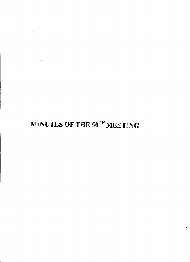# MINUTES **OF** THE **50TH** MEETING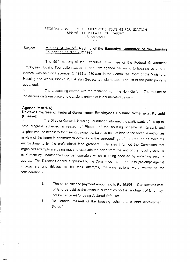# FEDERAL GOVER MENT EMPLOYEES HOUSING FOUNDATION SHAHEED-E-MILLAT SECRETARIAT **ISLAMABAD**

#### Minutes of the 5<sup>3th</sup> Meeting of the Executive Committee of the Housing Subject: Foundation held on 2.12.1998.

The 50<sup>th</sup> meeting of the Executive Committee of the Federal Government Employees Housing Foundation sased on one item agenda pertaining to housing scheme at Karachi was held on December 2. 1998 at 930 a.m. in the Committee Room of the Ministry of Housing and Works, Block "B", Pakistan Secretariat, Islamabad. The list of the participants is appended.

The proceeding started with the recitation from the Holy Qur'an. The resume of  $3<sub>1</sub>$ the discussion taken place and decisions arrived at is enumerated below:-

#### Agenda Item 1(A)

Review Progress of Federal Government Employees Housing Scheme at Karachi (Phase-I).

The Director General, Housing Foundation informed the participants of the up-to- $3.$ date progress achieved in respect of Phase-I of the housing scheme at Karachi, and emphasized the necessity for making payment of balance cost of land to the revenue authorities in view of the boom in construction activities in the surroundings of the area, so as avoid the encroachments by the professional land grabbers. He also informed the Committee that organized attempts are being mace to excavate the earth from the land of the housing scheme at Karachi by unauthorized dumper operators which is being checked by engaging security guards. The Director General suggested to the Committee that in order to pre-empt against encroachers and thieves, to foil their attempts, following actions were warranted for consideration:-

- i. The entire balance payment amounting to Rs 19.698 million towards cost of land be paid to the revenue authorities so that allotment of land may not be cancelled for being declared defaulter..
- To Launch Phase-II of the housing scheme and start development ii. thereof.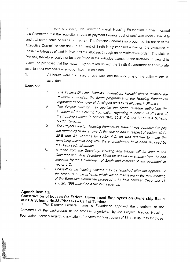4. In reply to a query the Director General, Housing Foundation further informed the Committee that the requisite amount of payment towards cost of land was readily available and that same could be made right a way. The Director General also brought to the notice of the Executive Committee that the Government of Sindh lately imposed a ban on the execution of lease / sub-leases of land in *fave:.. -* cf :-e allottees through an *administrative* order. The plots in Phase-I, therefore, could not be transferred in the individual names of the allottees. In view of te above, he proposed that the maner may be taken up with the Sindh Government at appropriate level to seek immediate exemption from the said ban.

5.

All issues were discussed thread-bare, and the out-come of the deliberations is as under:-

### **Decision:**

- *I. The Proje-;z Dirs-ctor, Housing Foundation, Karachi should intimate the revenue 6u:horities, the future programme of the Housing Foundation regarding h=nding over of developed plots to its allottees in Phase-I.*
- *ii. The Projec: Director may apprise the Sindh revenue authorities the intention of the Housing Foundation regarding launching of Phase-II of the housing scheme in Sectors 19-C,* 25-8, *4-C and* 30 *of KDA Scheme NO.33, Kara:hi ..*
- *iii. The Project Director, Housing Foundation, Karachi was authorized to pay the remainirg balance towards the cost of land in respect of sectors 19-C, 25-8 and* 3/), *whereas for sector 4-C, he was directed to make the remaining p3yment only after the encroachment have been removed by the District administration.*
- *iv. A letter from the Secretary, Housing and Works will be sent to the Governor and Chief Secretary, Sindh for seeking exemption from the ban imposed by the Government of Sindh and removal of encroachment in sector4-C.*
- *v. Phase-II of the housing scheme may be launched after the approval of the brochure of the scheme, which will be discussed in the next meeting of the Executive Committee proposed to be held between December 15 and 20,* 1998 *based on a two items agenda.*

# **Agenda Item 1(B)**

**Construction of houses for Federal Government Employees on Ownership Basis at KDA Scheme NO.33 (Phase-I) - Call of Tenders**

6. The Director *General,* Housing Foundation *apprised* the members of *the Committee* of the background of the process undertaken by the Project Director, Housing .• Foundation, Karachi regarding invitation of tenders for construction of 83 built-up units for those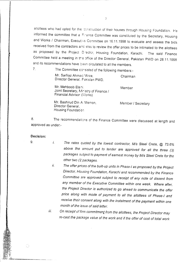allottees who had opted for the construction of their houses through Housing Foundation. He informed the committee that a Firance Committee was constituted by the Secretary, Housing and Works / Chairman, Executive Committee on 16.11.1998 to evaluate and assess the bids received from the contractors and also to review the offer prices to be intimated to the allottees as proposed by the Project D ector, Housing Foundation, Karachi. The said Finance Committee held a meeting in the office of the Director General, Pakistan PWD on 28.11.1998 and its recommendations have been circulated to all the members.

7. The Committee consisted of the following members:-

Mr. Sarfraz Ahmad Virza, Chairman Director General. Pakistan PWD.

Mr. Mehboob Elahi, Joint Secretary, Mi~istry of Finance *I* Financial Advisor (*\'/orks*)

Mr. Bashirud Din A Memon, Director General. Housing Foundation

------------------------~~,\_. <sup>~</sup>.. ~~- .. \_....

Member *I* Secretary

Member

8. The recommendations of the Finance Committee were discussed at length and approved as under:-

#### **Decision:**

O

ling of the communication of the communication of the communication of the communication of the communication o<br>The communication of the communication of the communication of the communication of the communication of the c

- *i.* 9. *The rates quoted by the lowest contractor, Mis Steel Crete,* @ 73.6% *above the amount put to tender are approved for all the three (3) packages subject to payment of earnest money by Mis Steel Crete for the other two (2;packages.*
	- *ii. The offer prices of the built-up units in Phase-I* as *proposed by the Project Director, Housing Foundation, Karachi and recommended by the Finance Committee are approved subject to receipt of any note of dissent from any member of the Executive Committee within one week. Where after, the Project Director is authorized to* go *ahead to communicate the offer price along with mode of payment to all the allottees of Phase-I and receive their consent along with the instalment of the payment within one month of the issue of said letter.*

*Iii: On receipt of firm commJ1menifrom the allottees, the Project Director may re-cast the package value of the work and if the offer of cost of total work*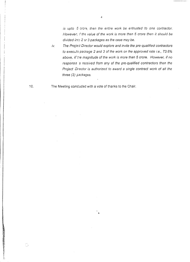*is upto* 5 *crors, then the entire work be entrusted to one contractor. However*, *f* the value of the work is more then 5 crore then it should be *divided*  $\sin 2$  or 3 packages as the case may be.

*iv. The Projie:t Director would explore and invite the pre-qualified contractors to execut~ package* 2 *and* 3 *of the work on the approved rate i.e., 73.6% above, iif tie magnitude of the work is more than* 5 *crore. However, if no responsa* 5 *received from any of the pre-qualified contractors then the Project Dj'ector is authorized to award* a *single contract work of all the three* (3) *packages.* 

The Meeting concluded with a vote of thanks to the Chair.

.•.

10.

 $\begin{array}{c} \mathcal{F}^{\mathcal{A}}_{\mathcal{A}} \\ \mathcal{F}^{\mathcal{B}}_{\mathcal{A}} \end{array}$ 

4